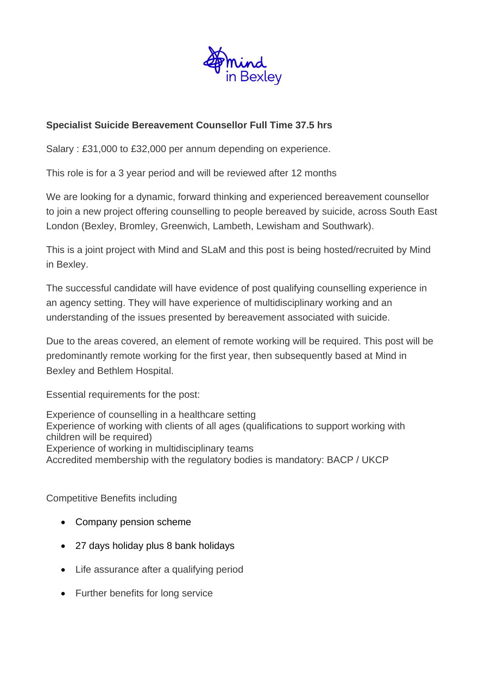

# **Specialist Suicide Bereavement Counsellor Full Time 37.5 hrs**

Salary : £31,000 to £32,000 per annum depending on experience.

This role is for a 3 year period and will be reviewed after 12 months

We are looking for a dynamic, forward thinking and experienced bereavement counsellor to join a new project offering counselling to people bereaved by suicide, across South East London (Bexley, Bromley, Greenwich, Lambeth, Lewisham and Southwark).

This is a joint project with Mind and SLaM and this post is being hosted/recruited by Mind in Bexley.

The successful candidate will have evidence of post qualifying counselling experience in an agency setting. They will have experience of multidisciplinary working and an understanding of the issues presented by bereavement associated with suicide.

Due to the areas covered, an element of remote working will be required. This post will be predominantly remote working for the first year, then subsequently based at Mind in Bexley and Bethlem Hospital.

Essential requirements for the post:

Experience of counselling in a healthcare setting Experience of working with clients of all ages (qualifications to support working with children will be required) Experience of working in multidisciplinary teams Accredited membership with the regulatory bodies is mandatory: BACP / UKCP

# Competitive Benefits including

- Company pension scheme
- 27 days holiday plus 8 bank holidays
- Life assurance after a qualifying period
- Further benefits for long service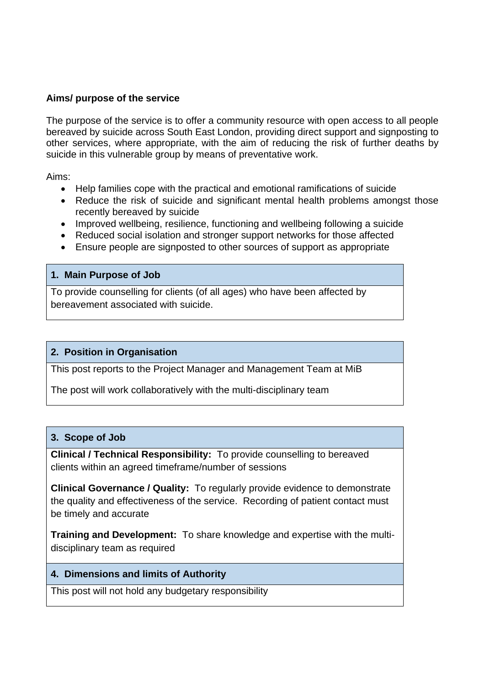## **Aims/ purpose of the service**

The purpose of the service is to offer a community resource with open access to all people bereaved by suicide across South East London, providing direct support and signposting to other services, where appropriate, with the aim of reducing the risk of further deaths by suicide in this vulnerable group by means of preventative work.

Aims:

- Help families cope with the practical and emotional ramifications of suicide
- Reduce the risk of suicide and significant mental health problems amongst those recently bereaved by suicide
- Improved wellbeing, resilience, functioning and wellbeing following a suicide
- Reduced social isolation and stronger support networks for those affected
- Ensure people are signposted to other sources of support as appropriate

#### **1. Main Purpose of Job**

To provide counselling for clients (of all ages) who have been affected by bereavement associated with suicide.

# **2. Position in Organisation**

This post reports to the Project Manager and Management Team at MiB

The post will work collaboratively with the multi-disciplinary team

#### **3. Scope of Job**

**Clinical / Technical Responsibility:**To provide counselling to bereaved clients within an agreed timeframe/number of sessions

**Clinical Governance / Quality:**To regularly provide evidence to demonstrate the quality and effectiveness of the service. Recording of patient contact must be timely and accurate

**Training and Development:**To share knowledge and expertise with the multidisciplinary team as required

#### **4. Dimensions and limits of Authority**

This post will not hold any budgetary responsibility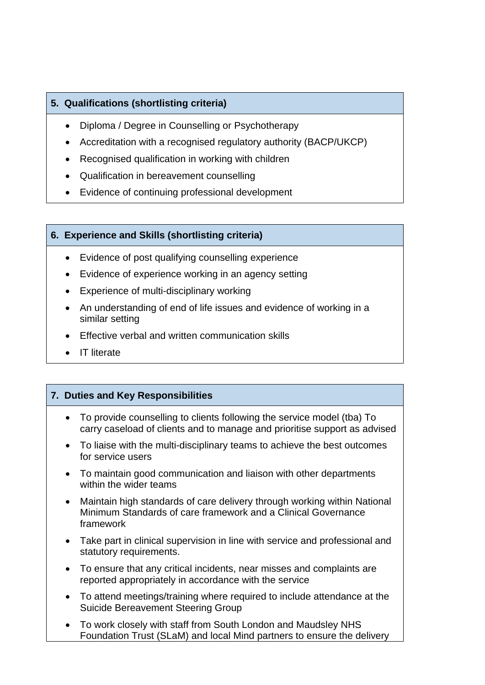# **5. Qualifications (shortlisting criteria)**

- Diploma / Degree in Counselling or Psychotherapy
- Accreditation with a recognised regulatory authority (BACP/UKCP)
- Recognised qualification in working with children
- Qualification in bereavement counselling
- Evidence of continuing professional development

## **6. Experience and Skills (shortlisting criteria)**

- Evidence of post qualifying counselling experience
- Evidence of experience working in an agency setting
- Experience of multi-disciplinary working
- An understanding of end of life issues and evidence of working in a similar setting
- Effective verbal and written communication skills
- IT literate

# **7. Duties and Key Responsibilities**

- To provide counselling to clients following the service model (tba) To carry caseload of clients and to manage and prioritise support as advised
- To liaise with the multi-disciplinary teams to achieve the best outcomes for service users
- To maintain good communication and liaison with other departments within the wider teams
- Maintain high standards of care delivery through working within National Minimum Standards of care framework and a Clinical Governance framework
- Take part in clinical supervision in line with service and professional and statutory requirements.
- To ensure that any critical incidents, near misses and complaints are reported appropriately in accordance with the service
- To attend meetings/training where required to include attendance at the Suicide Bereavement Steering Group
- To work closely with staff from South London and Maudsley NHS Foundation Trust (SLaM) and local Mind partners to ensure the delivery